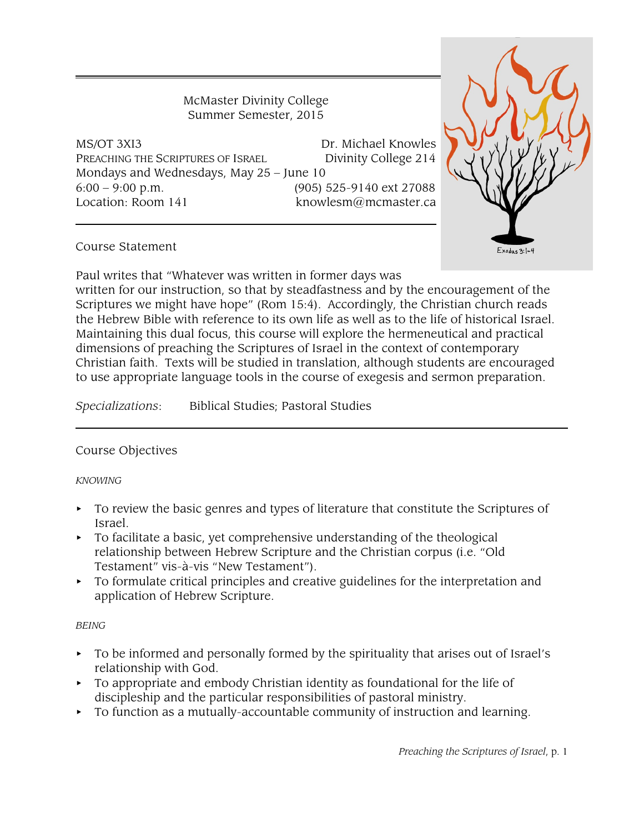McMaster Divinity College Summer Semester, 2015

MS/OT 3XI3 Dr. Michael Knowles PREACHING THE SCRIPTURES OF ISRAEL Divinity College 214 Mondays and Wednesdays, May 25 – June 10 6:00 – 9:00 p.m. (905) 525-9140 ext 27088 Location: Room 141 knowlesm@mcmaster.ca



## Course Statement

Paul writes that "Whatever was written in former days was

written for our instruction, so that by steadfastness and by the encouragement of the Scriptures we might have hope" (Rom 15:4). Accordingly, the Christian church reads the Hebrew Bible with reference to its own life as well as to the life of historical Israel. Maintaining this dual focus, this course will explore the hermeneutical and practical dimensions of preaching the Scriptures of Israel in the context of contemporary Christian faith. Texts will be studied in translation, although students are encouraged to use appropriate language tools in the course of exegesis and sermon preparation.

*Specializations*: Biblical Studies; Pastoral Studies

## Course Objectives

#### *KNOWING*

- $\triangleright$  To review the basic genres and types of literature that constitute the Scriptures of Israel.
- $\triangleright$  To facilitate a basic, yet comprehensive understanding of the theological relationship between Hebrew Scripture and the Christian corpus (i.e. "Old Testament" vis-à-vis "New Testament").
- To formulate critical principles and creative guidelines for the interpretation and application of Hebrew Scripture.

## *BEING*

- < To be informed and personally formed by the spirituality that arises out of Israel's relationship with God.
- $\triangleright$  To appropriate and embody Christian identity as foundational for the life of discipleship and the particular responsibilities of pastoral ministry.
- $\triangleright$  To function as a mutually-accountable community of instruction and learning.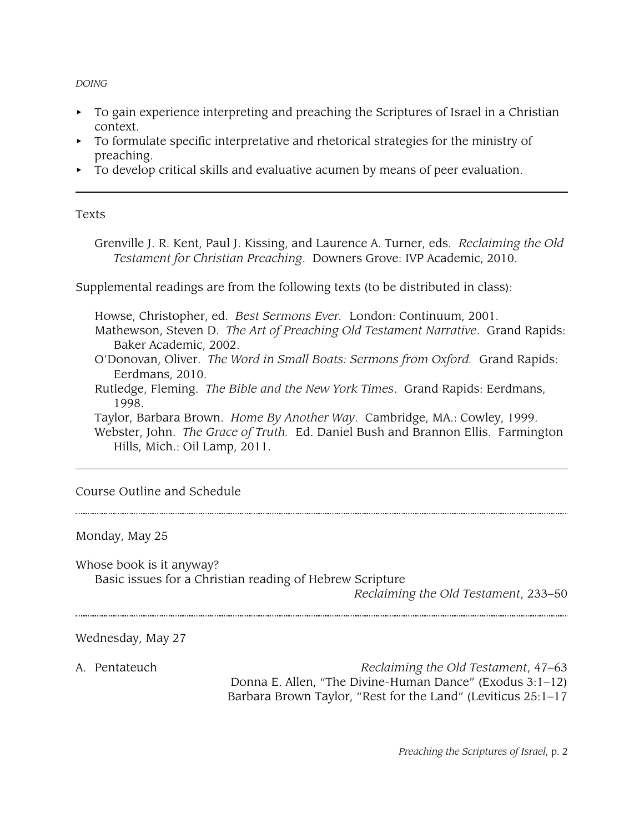*DOING*

- $\triangleright$  To gain experience interpreting and preaching the Scriptures of Israel in a Christian context.
- $\triangleright$  To formulate specific interpretative and rhetorical strategies for the ministry of preaching.
- $\triangleright$  To develop critical skills and evaluative acumen by means of peer evaluation.

## Texts

Grenville J. R. Kent, Paul J. Kissing, and Laurence A. Turner, eds. *Reclaiming the Old Testament for Christian Preaching*. Downers Grove: IVP Academic, 2010.

Supplemental readings are from the following texts (to be distributed in class):

Howse, Christopher, ed. *Best Sermons Ever.* London: Continuum, 2001.

Mathewson, Steven D. *The Art of Preaching Old Testament Narrative*. Grand Rapids: Baker Academic, 2002.

- O'Donovan, Oliver. *The Word in Small Boats: Sermons from Oxford.* Grand Rapids: Eerdmans, 2010.
- Rutledge, Fleming. *The Bible and the New York Times*. Grand Rapids: Eerdmans, 1998.

Taylor, Barbara Brown. *Home By Another Way*. Cambridge, MA.: Cowley, 1999. Webster, John. *The Grace of Truth.* Ed. Daniel Bush and Brannon Ellis. Farmington Hills, Mich.: Oil Lamp, 2011.

## Course Outline and Schedule

## Monday, May 25

Whose book is it anyway?

Basic issues for a Christian reading of Hebrew Scripture

*Reclaiming the Old Testament*, 233–50

Wednesday, May 27

A. Pentateuch *Reclaiming the Old Testament*, 47–63 Donna E. Allen, "The Divine-Human Dance" (Exodus 3:1–12) Barbara Brown Taylor, "Rest for the Land" (Leviticus 25:1–17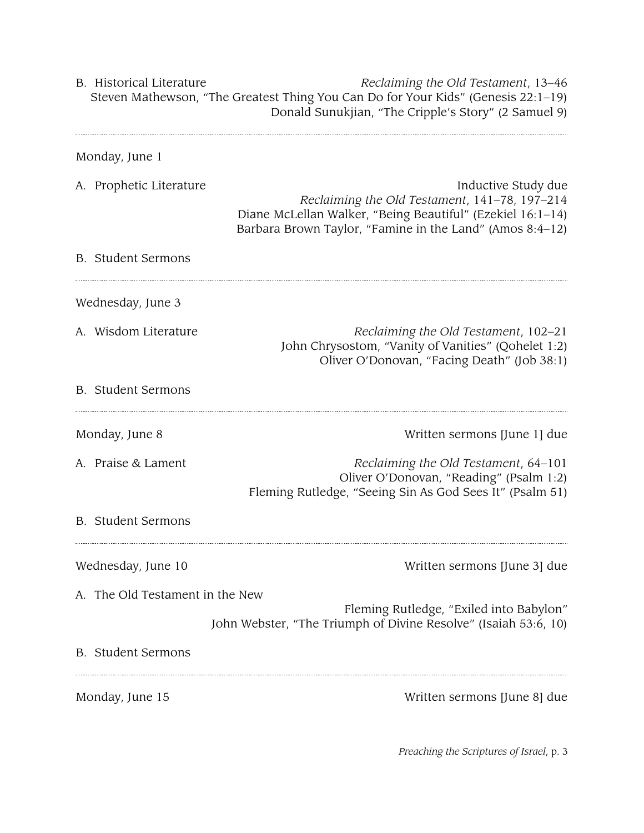B. Historical Literature *Reclaiming the Old Testament*, 13–46 Steven Mathewson, "The Greatest Thing You Can Do for Your Kids" (Genesis 22:1–19) Donald Sunukjian, "The Cripple's Story" (2 Samuel 9)

| Monday, June 1                  |                                                                                                                                                                                                |
|---------------------------------|------------------------------------------------------------------------------------------------------------------------------------------------------------------------------------------------|
| A. Prophetic Literature         | Inductive Study due<br>Reclaiming the Old Testament, 141-78, 197-214<br>Diane McLellan Walker, "Being Beautiful" (Ezekiel 16:1-14)<br>Barbara Brown Taylor, "Famine in the Land" (Amos 8:4-12) |
| <b>B.</b> Student Sermons       |                                                                                                                                                                                                |
| Wednesday, June 3               |                                                                                                                                                                                                |
| A. Wisdom Literature            | Reclaiming the Old Testament, 102-21<br>John Chrysostom, "Vanity of Vanities" (Qohelet 1:2)<br>Oliver O'Donovan, "Facing Death" (Job 38:1)                                                     |
| <b>B.</b> Student Sermons       |                                                                                                                                                                                                |
| Monday, June 8                  | Written sermons [June 1] due                                                                                                                                                                   |
| A. Praise & Lament              | Reclaiming the Old Testament, 64-101<br>Oliver O'Donovan, "Reading" (Psalm 1:2)<br>Fleming Rutledge, "Seeing Sin As God Sees It" (Psalm 51)                                                    |
| <b>B.</b> Student Sermons       |                                                                                                                                                                                                |
| Wednesday, June 10              | Written sermons [June 3] due                                                                                                                                                                   |
| A. The Old Testament in the New |                                                                                                                                                                                                |
|                                 | Fleming Rutledge, "Exiled into Babylon"<br>John Webster, "The Triumph of Divine Resolve" (Isaiah 53:6, 10)                                                                                     |
| <b>B.</b> Student Sermons       |                                                                                                                                                                                                |
| Monday, June 15                 | Written sermons [June 8] due                                                                                                                                                                   |

*Preaching the Scriptures of Israel*, p. 3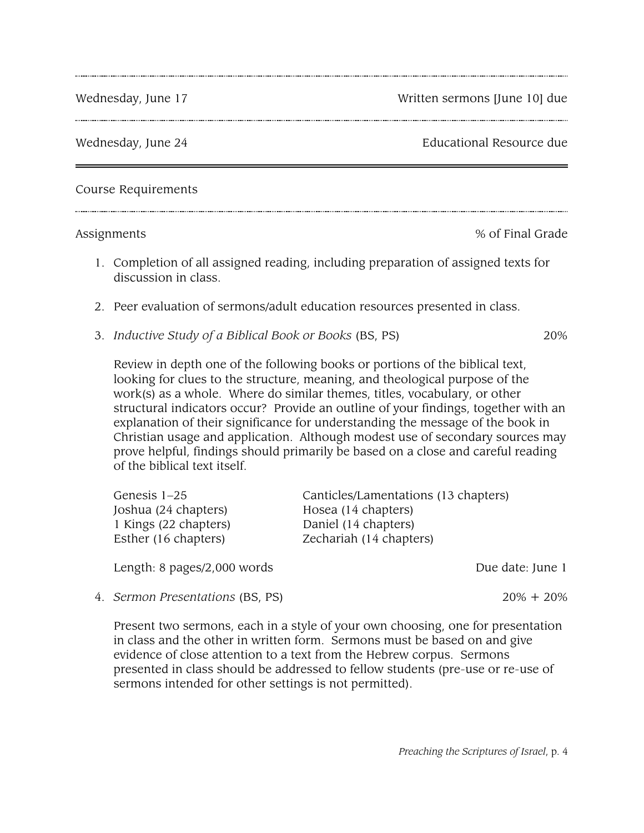Wednesday, June 17 Wednesday, June 17

Wednesday, June 24 **Educational Resource due** 

Course Requirements

Assignments  $\%$  of Final Grade

- 1. Completion of all assigned reading, including preparation of assigned texts for discussion in class.
- 2. Peer evaluation of sermons/adult education resources presented in class.
- 3. *Inductive Study of a Biblical Book or Books* (BS, PS) 20%

Review in depth one of the following books or portions of the biblical text, looking for clues to the structure, meaning, and theological purpose of the work(s) as a whole. Where do similar themes, titles, vocabulary, or other structural indicators occur? Provide an outline of your findings, together with an explanation of their significance for understanding the message of the book in Christian usage and application. Although modest use of secondary sources may prove helpful, findings should primarily be based on a close and careful reading of the biblical text itself.

| Genesis $1-25$        | Canticles/Lamentations (13 chapters) |
|-----------------------|--------------------------------------|
| Joshua (24 chapters)  | Hosea (14 chapters)                  |
| 1 Kings (22 chapters) | Daniel (14 chapters)                 |
| Esther (16 chapters)  | Zechariah (14 chapters)              |
|                       |                                      |

Length: 8 pages/2,000 words Due date: June 1

4. *Sermon Presentations* (BS, PS) 20% + 20%

Present two sermons, each in a style of your own choosing, one for presentation in class and the other in written form. Sermons must be based on and give evidence of close attention to a text from the Hebrew corpus. Sermons presented in class should be addressed to fellow students (pre-use or re-use of sermons intended for other settings is not permitted).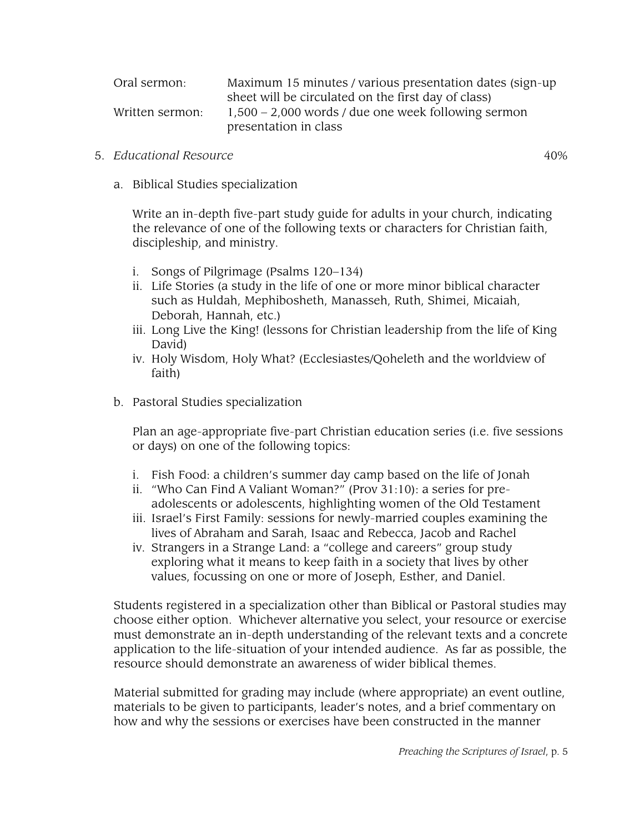| Oral sermon:    | Maximum 15 minutes / various presentation dates (sign-up) |
|-----------------|-----------------------------------------------------------|
|                 | sheet will be circulated on the first day of class)       |
| Written sermon: | $1,500 - 2,000$ words / due one week following sermon     |
|                 | presentation in class                                     |

#### 5. *Educational Resource* 40%

a. Biblical Studies specialization

Write an in-depth five-part study guide for adults in your church, indicating the relevance of one of the following texts or characters for Christian faith, discipleship, and ministry.

- i. Songs of Pilgrimage (Psalms 120–134)
- ii. Life Stories (a study in the life of one or more minor biblical character such as Huldah, Mephibosheth, Manasseh, Ruth, Shimei, Micaiah, Deborah, Hannah, etc.)
- iii. Long Live the King! (lessons for Christian leadership from the life of King David)
- iv. Holy Wisdom, Holy What? (Ecclesiastes/Qoheleth and the worldview of faith)
- b. Pastoral Studies specialization

Plan an age-appropriate five-part Christian education series (i.e. five sessions or days) on one of the following topics:

- i. Fish Food: a children's summer day camp based on the life of Jonah
- ii. "Who Can Find A Valiant Woman?" (Prov 31:10): a series for preadolescents or adolescents, highlighting women of the Old Testament
- iii. Israel's First Family: sessions for newly-married couples examining the lives of Abraham and Sarah, Isaac and Rebecca, Jacob and Rachel
- iv. Strangers in a Strange Land: a "college and careers" group study exploring what it means to keep faith in a society that lives by other values, focussing on one or more of Joseph, Esther, and Daniel.

Students registered in a specialization other than Biblical or Pastoral studies may choose either option. Whichever alternative you select, your resource or exercise must demonstrate an in-depth understanding of the relevant texts and a concrete application to the life-situation of your intended audience. As far as possible, the resource should demonstrate an awareness of wider biblical themes.

Material submitted for grading may include (where appropriate) an event outline, materials to be given to participants, leader's notes, and a brief commentary on how and why the sessions or exercises have been constructed in the manner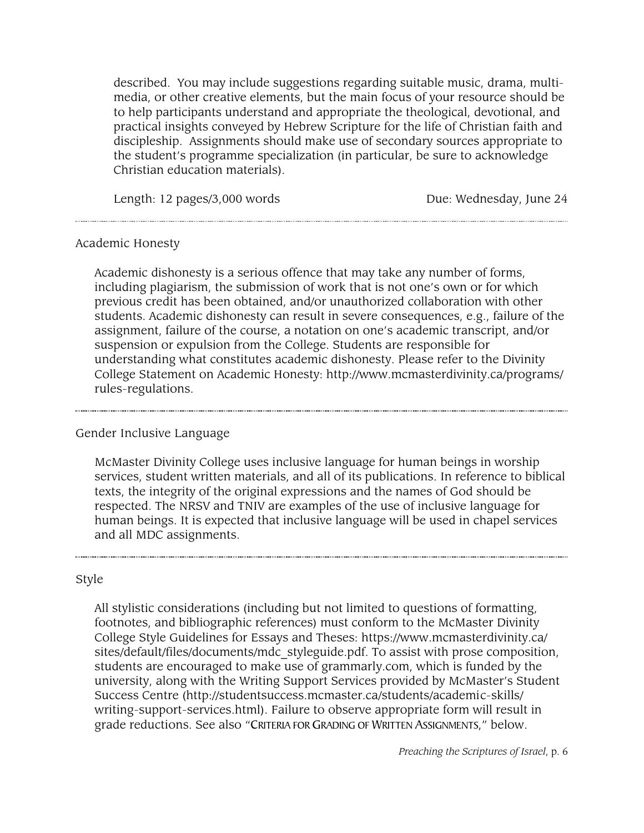described. You may include suggestions regarding suitable music, drama, multimedia, or other creative elements, but the main focus of your resource should be to help participants understand and appropriate the theological, devotional, and practical insights conveyed by Hebrew Scripture for the life of Christian faith and discipleship. Assignments should make use of secondary sources appropriate to the student's programme specialization (in particular, be sure to acknowledge Christian education materials).

Length: 12 pages/3,000 words Due: Wednesday, June 24

#### Academic Honesty

Academic dishonesty is a serious offence that may take any number of forms, including plagiarism, the submission of work that is not one's own or for which previous credit has been obtained, and/or unauthorized collaboration with other students. Academic dishonesty can result in severe consequences, e.g., failure of the assignment, failure of the course, a notation on one's academic transcript, and/or suspension or expulsion from the College. Students are responsible for understanding what constitutes academic dishonesty. Please refer to the Divinity College Statement on Academic Honesty: http://www.mcmasterdivinity.ca/programs/ rules-regulations.

## Gender Inclusive Language

McMaster Divinity College uses inclusive language for human beings in worship services, student written materials, and all of its publications. In reference to biblical texts, the integrity of the original expressions and the names of God should be respected. The NRSV and TNIV are examples of the use of inclusive language for human beings. It is expected that inclusive language will be used in chapel services and all MDC assignments.

#### Style

All stylistic considerations (including but not limited to questions of formatting, footnotes, and bibliographic references) must conform to the McMaster Divinity College Style Guidelines for Essays and Theses: https://www.mcmasterdivinity.ca/ sites/default/files/documents/mdc\_styleguide.pdf. To assist with prose composition, students are encouraged to make use of grammarly.com, which is funded by the university, along with the Writing Support Services provided by McMaster's Student Success Centre (http://studentsuccess.mcmaster.ca/students/academic-skills/ writing-support-services.html). Failure to observe appropriate form will result in grade reductions. See also "CRITERIA FOR GRADING OF WRITTEN ASSIGNMENTS," below.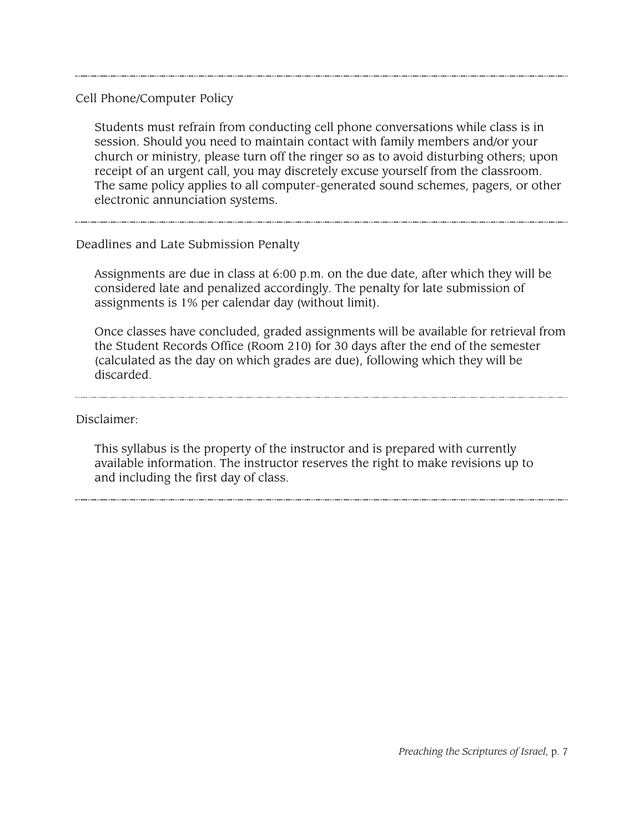Cell Phone/Computer Policy

Students must refrain from conducting cell phone conversations while class is in session. Should you need to maintain contact with family members and/or your church or ministry, please turn off the ringer so as to avoid disturbing others; upon receipt of an urgent call, you may discretely excuse yourself from the classroom. The same policy applies to all computer-generated sound schemes, pagers, or other electronic annunciation systems.

#### Deadlines and Late Submission Penalty

Assignments are due in class at 6:00 p.m. on the due date, after which they will be considered late and penalized accordingly. The penalty for late submission of assignments is 1% per calendar day (without limit).

Once classes have concluded, graded assignments will be available for retrieval from the Student Records Office (Room 210) for 30 days after the end of the semester (calculated as the day on which grades are due), following which they will be discarded.

Disclaimer:

This syllabus is the property of the instructor and is prepared with currently available information. The instructor reserves the right to make revisions up to and including the first day of class.